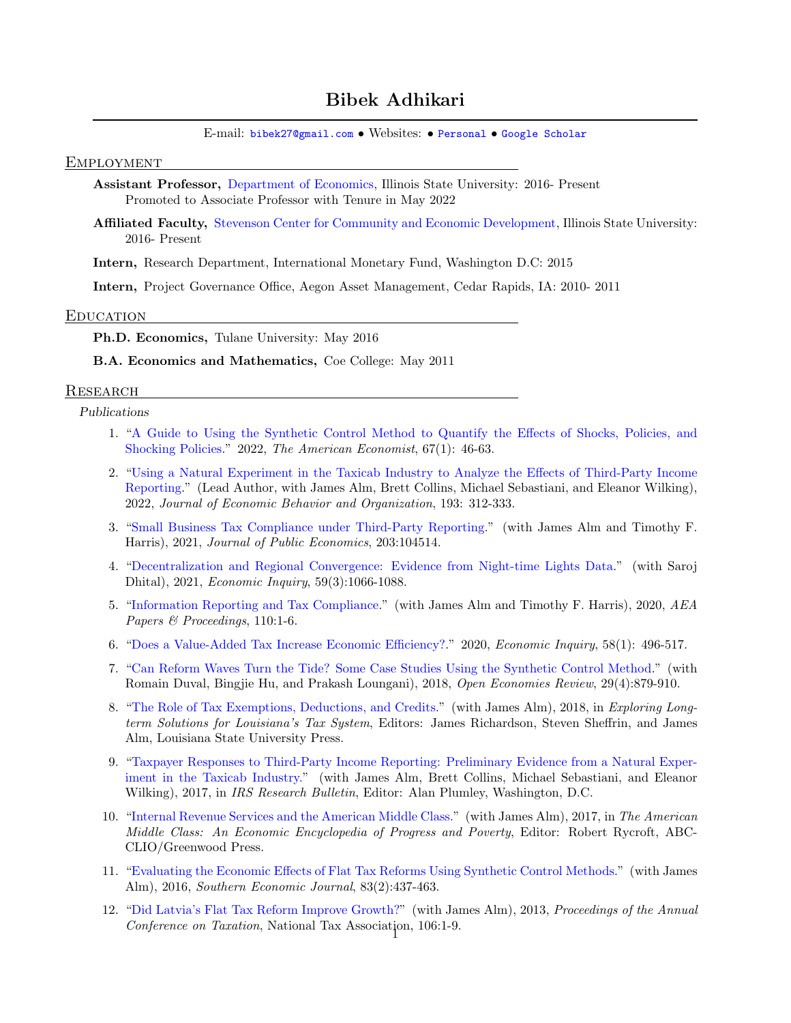# Bibek Adhikari

E-mail: [bibek27@gmail.com](mailto: bibek27@gmail.com) • Websites: • [Personal](https://www.bibekadhikari.com) • [Google Scholar](https://scholar.google.com/citations?user=cn958FcAAAAJ&hl=en)

### EMPLOYMENT

Assistant Professor, [Department of Economics,](https://economics.illinoisstate.edu/) Illinois State University: 2016- Present Promoted to Associate Professor with Tenure in May 2022

Affiliated Faculty, [Stevenson Center for Community and Economic Development,](https://stevensoncenter.org/) Illinois State University: 2016- Present

Intern, Research Department, International Monetary Fund, Washington D.C: 2015

Intern, Project Governance Office, Aegon Asset Management, Cedar Rapids, IA: 2010- 2011

#### **EDUCATION**

Ph.D. Economics, Tulane University: May 2016

B.A. Economics and Mathematics, Coe College: May 2011

#### **RESEARCH**

Publications

- 1. ["A Guide to Using the Synthetic Control Method to Quantify the Effects of Shocks, Policies, and](https://doi.org/10.1177/05694345211019714) [Shocking Policies.](https://doi.org/10.1177/05694345211019714)" 2022, The American Economist, 67(1): 46-63.
- 2. ["Using a Natural Experiment in the Taxicab Industry to Analyze the Effects of Third-Party Income](https://authors.elsevier.com/a/1eDgE_3pQ3iOTv) [Reporting.](https://authors.elsevier.com/a/1eDgE_3pQ3iOTv)" (Lead Author, with James Alm, Brett Collins, Michael Sebastiani, and Eleanor Wilking), 2022, Journal of Economic Behavior and Organization, 193: 312-333.
- 3. ["Small Business Tax Compliance under Third-Party Reporting.](https://www.sciencedirect.com/science/article/abs/pii/S004727272100150X)" (with James Alm and Timothy F. Harris), 2021, Journal of Public Economics, 203:104514.
- 4. ["Decentralization and Regional Convergence: Evidence from Night-time Lights Data.](https://doi.org/10.1111/ecin.12967)" (with Saroj Dhital), 2021, Economic Inquiry, 59(3):1066-1088.
- 5. ["Information Reporting and Tax Compliance.](https://www.aeaweb.org/articles?id=10.1257/pandp.20201041)" (with James Alm and Timothy F. Harris), 2020, AEA Papers & Proceedings, 110:1-6.
- 6. ["Does a Value-Added Tax Increase Economic Efficiency?.](https://doi.org/10.1111/ecin.12847)" 2020, Economic Inquiry, 58(1): 496-517.
- 7. ["Can Reform Waves Turn the Tide? Some Case Studies Using the Synthetic Control Method.](https://link.springer.com/article/10.1007/s11079-018-9490-3)" (with Romain Duval, Bingjie Hu, and Prakash Loungani), 2018, Open Economies Review, 29(4):879-910.
- 8. ["The Role of Tax Exemptions, Deductions, and Credits.](https://lsupress.org/books/detail/exploring-long-term-solutions-for-louisianas-tax-system)" (with James Alm), 2018, in Exploring Longterm Solutions for Louisiana's Tax System, Editors: James Richardson, Steven Sheffrin, and James Alm, Louisiana State University Press.
- 9. ["Taxpayer Responses to Third-Party Income Reporting: Preliminary Evidence from a Natural Exper](https://www.irs.gov/pub/irs-soi/16rescon.pdf)[iment in the Taxicab Industry."](https://www.irs.gov/pub/irs-soi/16rescon.pdf) (with James Alm, Brett Collins, Michael Sebastiani, and Eleanor Wilking), 2017, in *IRS Research Bulletin*, Editor: Alan Plumley, Washington, D.C.
- 10. ["Internal Revenue Services and the American Middle Class."](http://www.abc-clio.com/ABC-CLIOGreenwood/product.aspx?pc=A4405C) (with James Alm), 2017, in The American Middle Class: An Economic Encyclopedia of Progress and Poverty, Editor: Robert Rycroft, ABC-CLIO/Greenwood Press.
- 11. ["Evaluating the Economic Effects of Flat Tax Reforms Using Synthetic Control Methods.](https://doi.org/10.1002/soej.12152)" (with James Alm), 2016, Southern Economic Journal, 83(2):437-463.
- 12. ["Did Latvia's Flat Tax Reform Improve Growth?"](https://www.jstor.org/stable/90021632) (with James Alm), 2013, Proceedings of the Annual Conference on Taxation, National Tax Association, 106:1-9.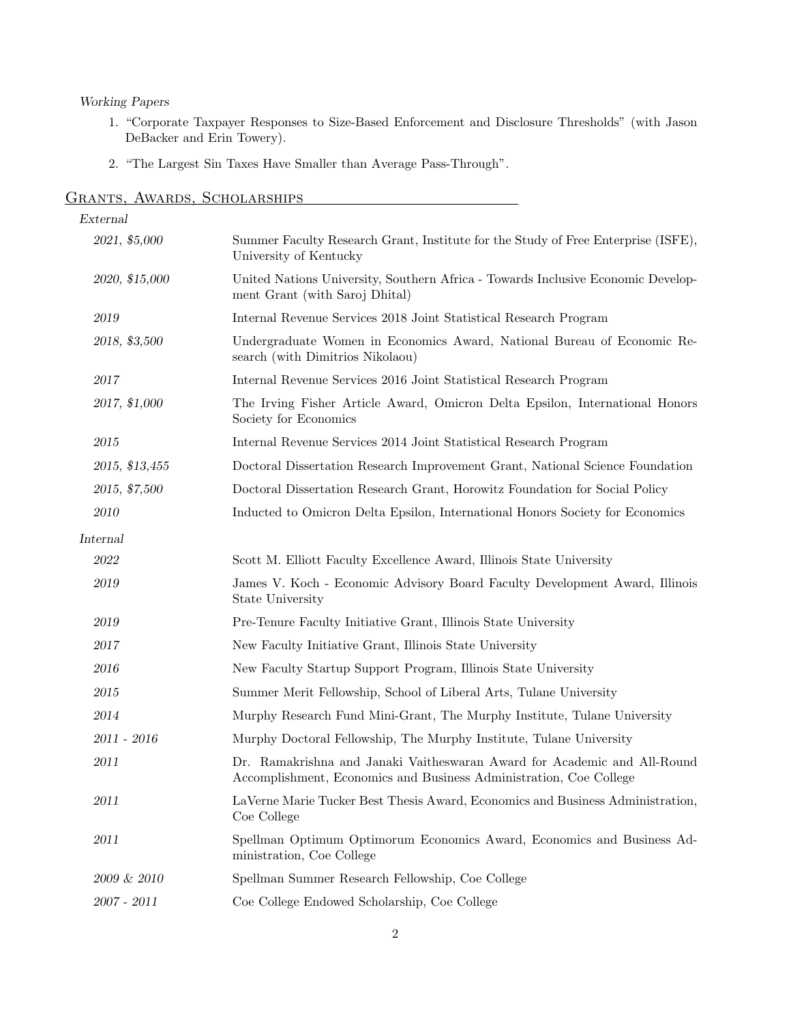## Working Papers

- 1. "Corporate Taxpayer Responses to Size-Based Enforcement and Disclosure Thresholds" (with Jason DeBacker and Erin Towery).
- 2. "The Largest Sin Taxes Have Smaller than Average Pass-Through".

| External       |                                                                                                                                                |
|----------------|------------------------------------------------------------------------------------------------------------------------------------------------|
| 2021, \$5,000  | Summer Faculty Research Grant, Institute for the Study of Free Enterprise (ISFE),<br>University of Kentucky                                    |
| 2020, \$15,000 | United Nations University, Southern Africa - Towards Inclusive Economic Develop-<br>ment Grant (with Saroj Dhital)                             |
| 2019           | Internal Revenue Services 2018 Joint Statistical Research Program                                                                              |
| 2018, \$3,500  | Undergraduate Women in Economics Award, National Bureau of Economic Re-<br>search (with Dimitrios Nikolaou)                                    |
| 2017           | Internal Revenue Services 2016 Joint Statistical Research Program                                                                              |
| 2017, \$1,000  | The Irving Fisher Article Award, Omicron Delta Epsilon, International Honors<br>Society for Economics                                          |
| 2015           | Internal Revenue Services 2014 Joint Statistical Research Program                                                                              |
| 2015, \$13,455 | Doctoral Dissertation Research Improvement Grant, National Science Foundation                                                                  |
| 2015, \$7,500  | Doctoral Dissertation Research Grant, Horowitz Foundation for Social Policy                                                                    |
| 2010           | Inducted to Omicron Delta Epsilon, International Honors Society for Economics                                                                  |
| Internal       |                                                                                                                                                |
| 2022           | Scott M. Elliott Faculty Excellence Award, Illinois State University                                                                           |
| 2019           | James V. Koch - Economic Advisory Board Faculty Development Award, Illinois<br>State University                                                |
| 2019           | Pre-Tenure Faculty Initiative Grant, Illinois State University                                                                                 |
| 2017           | New Faculty Initiative Grant, Illinois State University                                                                                        |
| 2016           | New Faculty Startup Support Program, Illinois State University                                                                                 |
| 2015           | Summer Merit Fellowship, School of Liberal Arts, Tulane University                                                                             |
| 2014           | Murphy Research Fund Mini-Grant, The Murphy Institute, Tulane University                                                                       |
| 2011 - 2016    | Murphy Doctoral Fellowship, The Murphy Institute, Tulane University                                                                            |
| 2011           | Dr. Ramakrishna and Janaki Vaitheswaran Award for Academic and All-Round<br>Accomplishment, Economics and Business Administration, Coe College |
| 2011           | LaVerne Marie Tucker Best Thesis Award, Economics and Business Administration,<br>Coe College                                                  |
| 2011           | Spellman Optimum Optimorum Economics Award, Economics and Business Ad-<br>ministration, Coe College                                            |
| $2009 \& 2010$ | Spellman Summer Research Fellowship, Coe College                                                                                               |
| 2007 - 2011    | Coe College Endowed Scholarship, Coe College                                                                                                   |

## Grants, Awards, Scholarships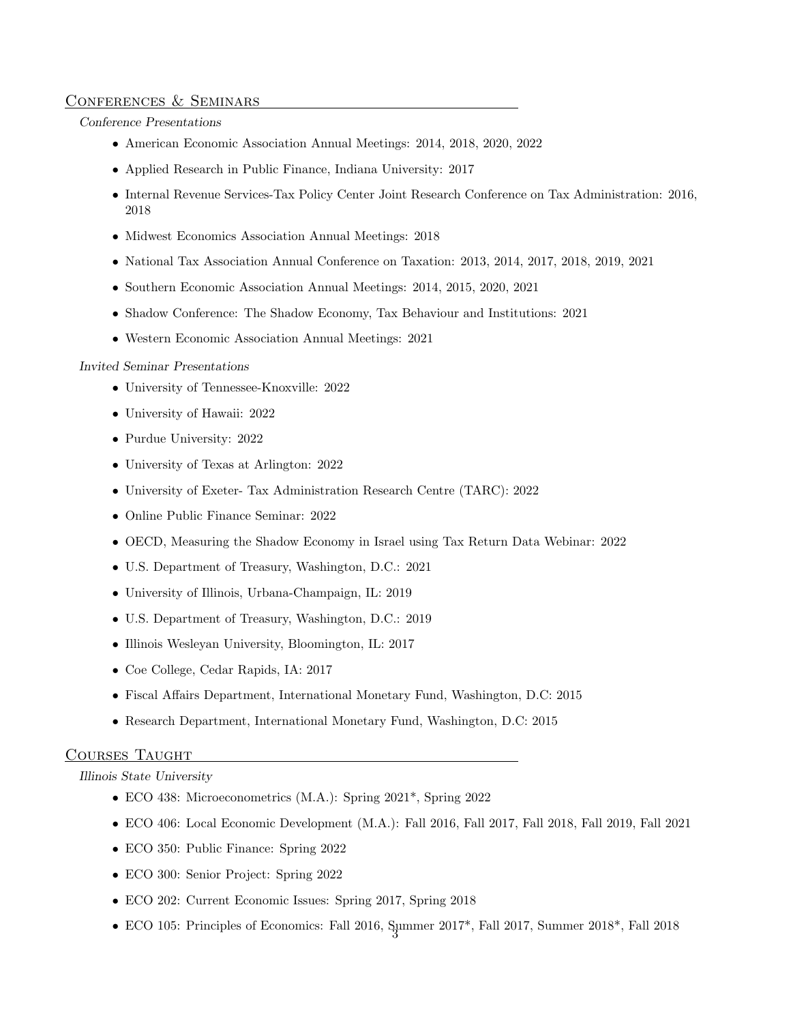## Conferences & Seminars

#### Conference Presentations

- American Economic Association Annual Meetings: 2014, 2018, 2020, 2022
- Applied Research in Public Finance, Indiana University: 2017
- Internal Revenue Services-Tax Policy Center Joint Research Conference on Tax Administration: 2016, 2018
- Midwest Economics Association Annual Meetings: 2018
- National Tax Association Annual Conference on Taxation: 2013, 2014, 2017, 2018, 2019, 2021
- Southern Economic Association Annual Meetings: 2014, 2015, 2020, 2021
- Shadow Conference: The Shadow Economy, Tax Behaviour and Institutions: 2021
- Western Economic Association Annual Meetings: 2021

#### Invited Seminar Presentations

- University of Tennessee-Knoxville: 2022
- University of Hawaii: 2022
- Purdue University: 2022
- University of Texas at Arlington: 2022
- University of Exeter- Tax Administration Research Centre (TARC): 2022
- Online Public Finance Seminar: 2022
- OECD, Measuring the Shadow Economy in Israel using Tax Return Data Webinar: 2022
- U.S. Department of Treasury, Washington, D.C.: 2021
- University of Illinois, Urbana-Champaign, IL: 2019
- U.S. Department of Treasury, Washington, D.C.: 2019
- Illinois Wesleyan University, Bloomington, IL: 2017
- Coe College, Cedar Rapids, IA: 2017
- Fiscal Affairs Department, International Monetary Fund, Washington, D.C: 2015
- Research Department, International Monetary Fund, Washington, D.C: 2015

## Courses Taught

#### Illinois State University

- ECO 438: Microeconometrics (M.A.): Spring 2021<sup>\*</sup>, Spring 2022
- ECO 406: Local Economic Development (M.A.): Fall 2016, Fall 2017, Fall 2018, Fall 2019, Fall 2021
- ECO 350: Public Finance: Spring 2022
- ECO 300: Senior Project: Spring 2022
- ECO 202: Current Economic Issues: Spring 2017, Spring 2018
- $\bullet$  ECO 105: Principles of Economics: Fall 2016, Summer 2017\*, Fall 2017, Summer 2018\*, Fall 2018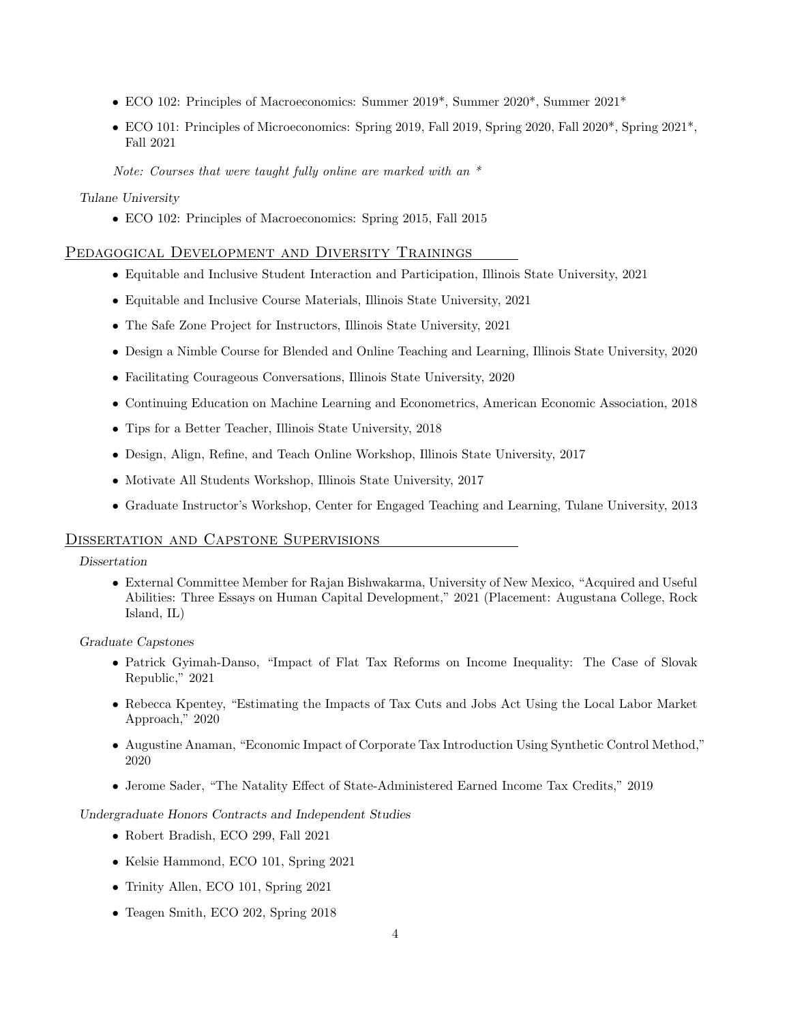- ECO 102: Principles of Macroeconomics: Summer 2019\*, Summer 2020\*, Summer 2021\*
- ECO 101: Principles of Microeconomics: Spring 2019, Fall 2019, Spring 2020, Fall 2020\*, Spring 2021\*, Fall 2021

Note: Courses that were taught fully online are marked with an  $*$ 

## Tulane University

• ECO 102: Principles of Macroeconomics: Spring 2015, Fall 2015

## Pedagogical Development and Diversity Trainings

- Equitable and Inclusive Student Interaction and Participation, Illinois State University, 2021
- Equitable and Inclusive Course Materials, Illinois State University, 2021
- The Safe Zone Project for Instructors, Illinois State University, 2021
- Design a Nimble Course for Blended and Online Teaching and Learning, Illinois State University, 2020
- Facilitating Courageous Conversations, Illinois State University, 2020
- Continuing Education on Machine Learning and Econometrics, American Economic Association, 2018
- Tips for a Better Teacher, Illinois State University, 2018
- Design, Align, Refine, and Teach Online Workshop, Illinois State University, 2017
- Motivate All Students Workshop, Illinois State University, 2017
- Graduate Instructor's Workshop, Center for Engaged Teaching and Learning, Tulane University, 2013

## Dissertation and Capstone Supervisions

### Dissertation

• External Committee Member for Rajan Bishwakarma, University of New Mexico, "Acquired and Useful Abilities: Three Essays on Human Capital Development," 2021 (Placement: Augustana College, Rock Island, IL)

Graduate Capstones

- Patrick Gyimah-Danso, "Impact of Flat Tax Reforms on Income Inequality: The Case of Slovak Republic," 2021
- Rebecca Kpentey, "Estimating the Impacts of Tax Cuts and Jobs Act Using the Local Labor Market Approach," 2020
- Augustine Anaman, "Economic Impact of Corporate Tax Introduction Using Synthetic Control Method," 2020
- Jerome Sader, "The Natality Effect of State-Administered Earned Income Tax Credits," 2019

### Undergraduate Honors Contracts and Independent Studies

- Robert Bradish, ECO 299, Fall 2021
- Kelsie Hammond, ECO 101, Spring 2021
- Trinity Allen, ECO 101, Spring 2021
- Teagen Smith, ECO 202, Spring 2018